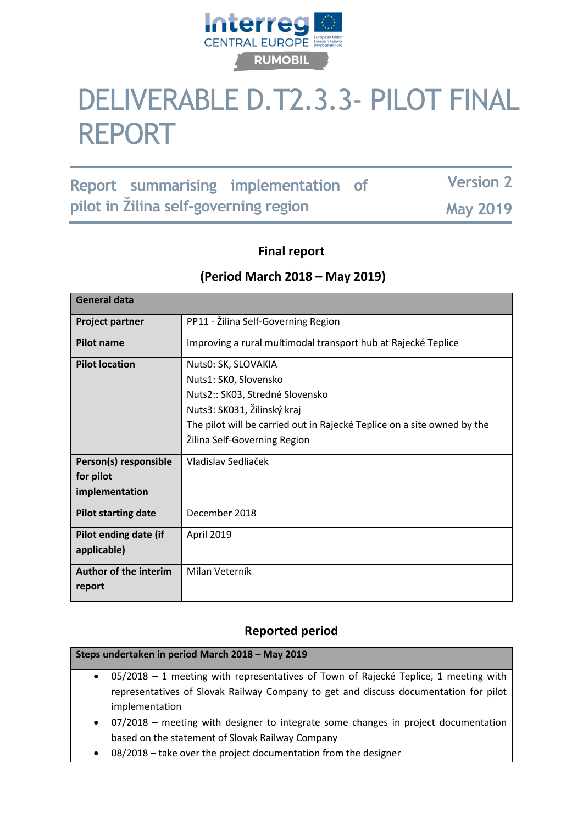

# DELIVERABLE D.T2.3.3- PILOT FINAL REPORT

**Report summarising implementation of pilot in Žilina self-governing region Version 2 May 2019**

# **Final report**

## **(Period March 2018 – May 2019)**

| <b>General data</b>          |                                                                         |
|------------------------------|-------------------------------------------------------------------------|
| <b>Project partner</b>       | PP11 - Žilina Self-Governing Region                                     |
| Pilot name                   | Improving a rural multimodal transport hub at Rajecké Teplice           |
| <b>Pilot location</b>        | Nuts0: SK, SLOVAKIA                                                     |
|                              | Nuts1: SKO, Slovensko                                                   |
|                              | Nuts2:: SK03, Stredné Slovensko                                         |
|                              | Nuts3: SK031, Žilinský kraj                                             |
|                              | The pilot will be carried out in Rajecké Teplice on a site owned by the |
|                              | Žilina Self-Governing Region                                            |
| Person(s) responsible        | Vladislav Sedliaček                                                     |
| for pilot                    |                                                                         |
| implementation               |                                                                         |
| <b>Pilot starting date</b>   | December 2018                                                           |
| Pilot ending date (if        | April 2019                                                              |
| applicable)                  |                                                                         |
| <b>Author of the interim</b> | Milan Veterník                                                          |
| report                       |                                                                         |

## **Reported period**

#### **Steps undertaken in period March 2018 – May 2019**

- 05/2018 1 meeting with representatives of Town of Rajecké Teplice, 1 meeting with representatives of Slovak Railway Company to get and discuss documentation for pilot implementation
- 07/2018 meeting with designer to integrate some changes in project documentation based on the statement of Slovak Railway Company
- 08/2018 take over the project documentation from the designer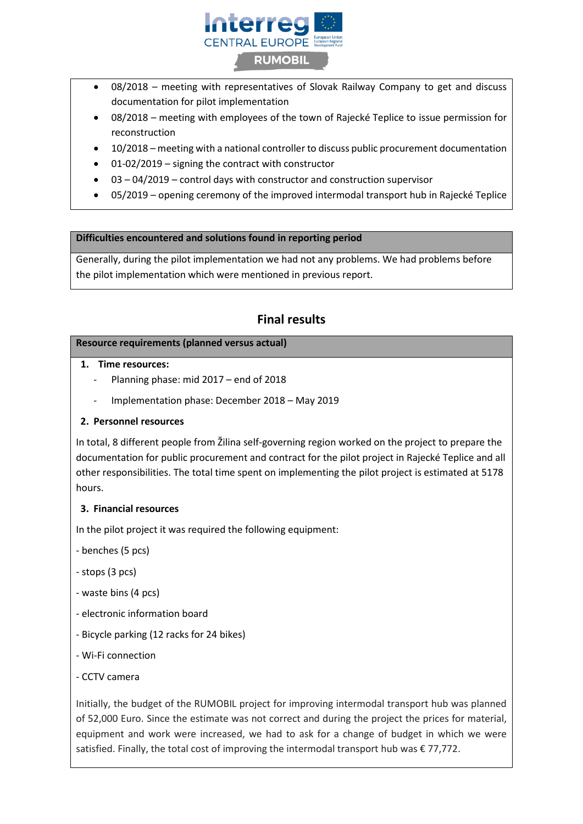

- 08/2018 meeting with representatives of Slovak Railway Company to get and discuss documentation for pilot implementation
- 08/2018 meeting with employees of the town of Rajecké Teplice to issue permission for reconstruction
- 10/2018 meeting with a national controller to discuss public procurement documentation
- 01-02/2019 signing the contract with constructor
- $\bullet$  03 04/2019 control days with constructor and construction supervisor
- 05/2019 opening ceremony of the improved intermodal transport hub in Rajecké Teplice

## **Difficulties encountered and solutions found in reporting period**

Generally, during the pilot implementation we had not any problems. We had problems before the pilot implementation which were mentioned in previous report.

# **Final results**

### **Resource requirements (planned versus actual)**

### **1. Time resources:**

- Planning phase: mid 2017 end of 2018
- Implementation phase: December 2018 May 2019

### **2. Personnel resources**

In total, 8 different people from Žilina self-governing region worked on the project to prepare the documentation for public procurement and contract for the pilot project in Rajecké Teplice and all other responsibilities. The total time spent on implementing the pilot project is estimated at 5178 hours.

### **3. Financial resources**

In the pilot project it was required the following equipment:

- benches (5 pcs)
- stops (3 pcs)
- waste bins (4 pcs)
- electronic information board
- Bicycle parking (12 racks for 24 bikes)
- Wi-Fi connection
- CCTV camera

Initially, the budget of the RUMOBIL project for improving intermodal transport hub was planned of 52,000 Euro. Since the estimate was not correct and during the project the prices for material, equipment and work were increased, we had to ask for a change of budget in which we were satisfied. Finally, the total cost of improving the intermodal transport hub was € 77,772.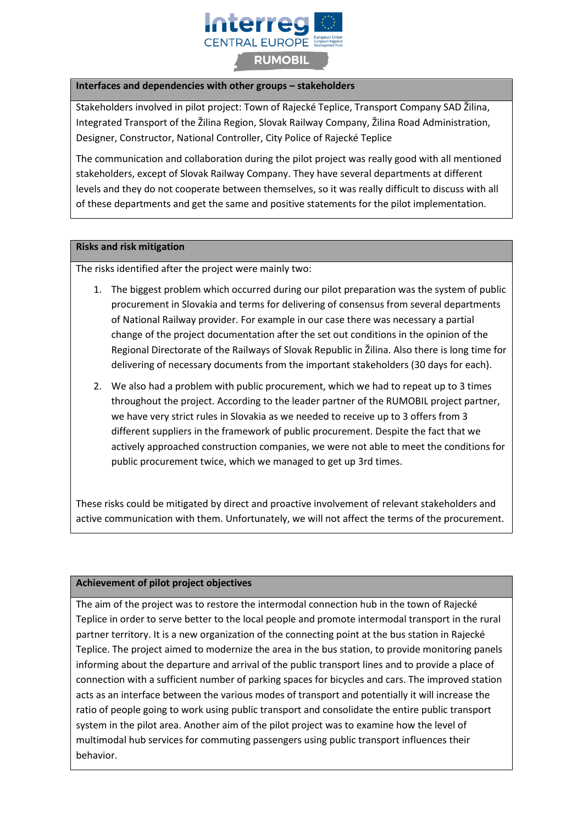

#### **Interfaces and dependencies with other groups – stakeholders**

Stakeholders involved in pilot project: Town of Rajecké Teplice, Transport Company SAD Žilina, Integrated Transport of the Žilina Region, Slovak Railway Company, Žilina Road Administration, Designer, Constructor, National Controller, City Police of Rajecké Teplice

The communication and collaboration during the pilot project was really good with all mentioned stakeholders, except of Slovak Railway Company. They have several departments at different levels and they do not cooperate between themselves, so it was really difficult to discuss with all of these departments and get the same and positive statements for the pilot implementation.

#### **Risks and risk mitigation**

The risks identified after the project were mainly two:

- 1. The biggest problem which occurred during our pilot preparation was the system of public procurement in Slovakia and terms for delivering of consensus from several departments of National Railway provider. For example in our case there was necessary a partial change of the project documentation after the set out conditions in the opinion of the Regional Directorate of the Railways of Slovak Republic in Žilina. Also there is long time for delivering of necessary documents from the important stakeholders (30 days for each).
- 2. We also had a problem with public procurement, which we had to repeat up to 3 times throughout the project. According to the leader partner of the RUMOBIL project partner, we have very strict rules in Slovakia as we needed to receive up to 3 offers from 3 different suppliers in the framework of public procurement. Despite the fact that we actively approached construction companies, we were not able to meet the conditions for public procurement twice, which we managed to get up 3rd times.

These risks could be mitigated by direct and proactive involvement of relevant stakeholders and active communication with them. Unfortunately, we will not affect the terms of the procurement.

#### **Achievement of pilot project objectives**

The aim of the project was to restore the intermodal connection hub in the town of Rajecké Teplice in order to serve better to the local people and promote intermodal transport in the rural partner territory. It is a new organization of the connecting point at the bus station in Rajecké Teplice. The project aimed to modernize the area in the bus station, to provide monitoring panels informing about the departure and arrival of the public transport lines and to provide a place of connection with a sufficient number of parking spaces for bicycles and cars. The improved station acts as an interface between the various modes of transport and potentially it will increase the ratio of people going to work using public transport and consolidate the entire public transport system in the pilot area. Another aim of the pilot project was to examine how the level of multimodal hub services for commuting passengers using public transport influences their behavior.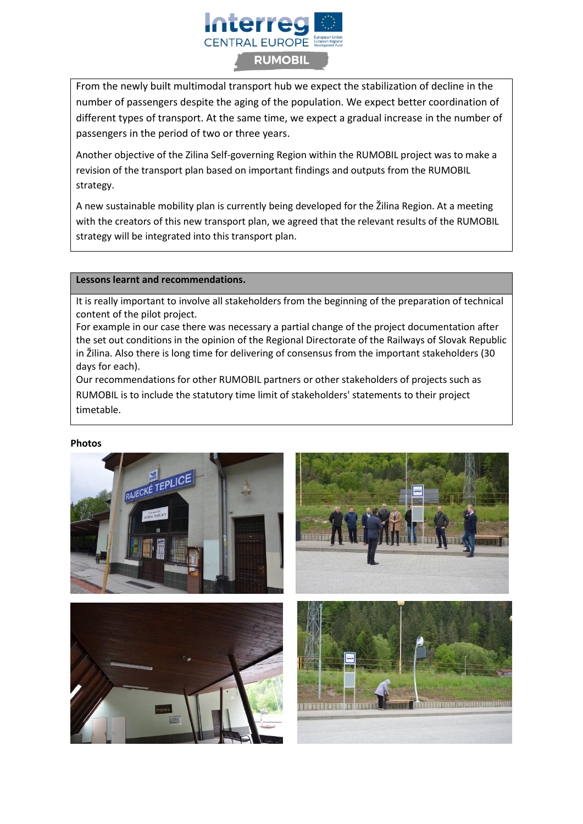

From the newly built multimodal transport hub we expect the stabilization of decline in the number of passengers despite the aging of the population. We expect better coordination of different types of transport. At the same time, we expect a gradual increase in the number of passengers in the period of two or three years.

Another objective of the Zilina Self-governing Region within the RUMOBIL project was to make a revision of the transport plan based on important findings and outputs from the RUMOBIL strategy.

A new sustainable mobility plan is currently being developed for the Žilina Region. At a meeting with the creators of this new transport plan, we agreed that the relevant results of the RUMOBIL strategy will be integrated into this transport plan.

#### **Lessons learnt and recommendations.**

It is really important to involve all stakeholders from the beginning of the preparation of technical content of the pilot project.

For example in our case there was necessary a partial change of the project documentation after the set out conditions in the opinion of the Regional Directorate of the Railways of Slovak Republic in Žilina. Also there is long time for delivering of consensus from the important stakeholders (30 days for each).

Our recommendations for other RUMOBIL partners or other stakeholders of projects such as RUMOBIL is to include the statutory time limit of stakeholders' statements to their project timetable.

#### **Photos**

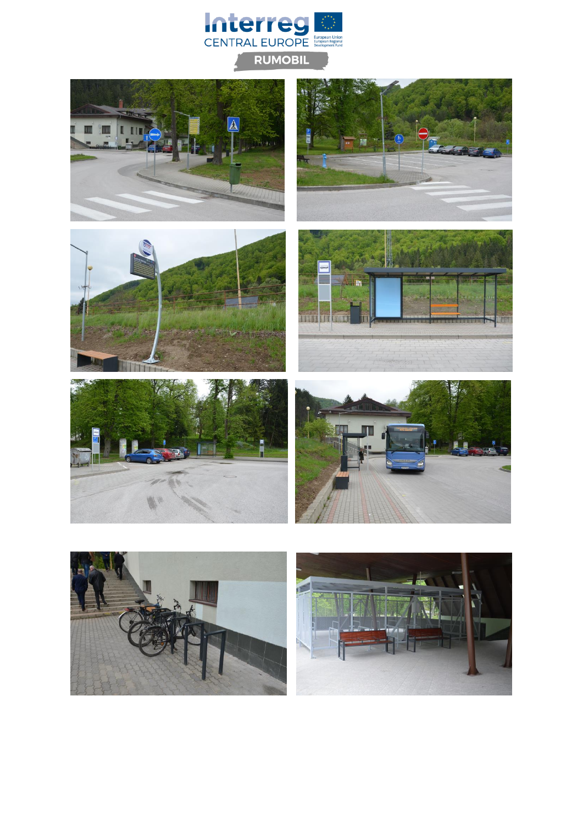